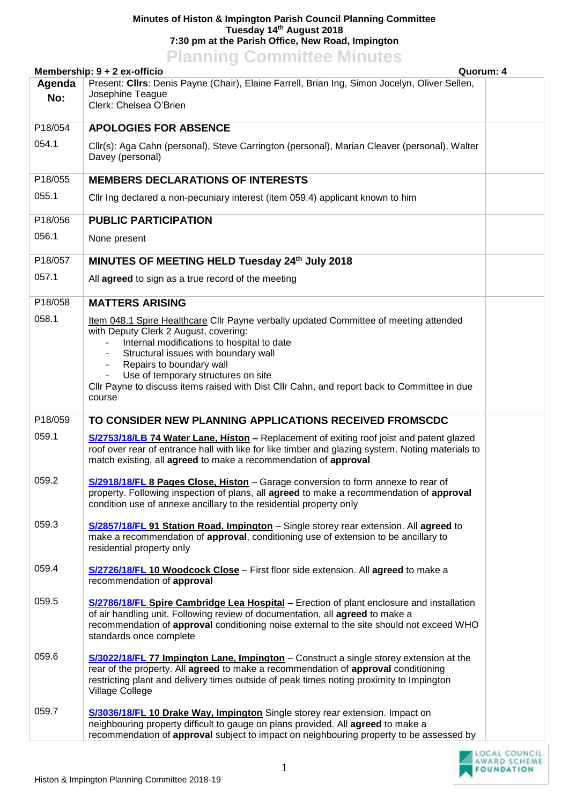## **Minutes of Histon & Impington Parish Council Planning Committee Tuesday 14th August 2018 7:30 pm at the Parish Office, New Road, Impington Planning Committee Minutes**

| <b>LIGHTING COMMITTEE MITTAICS</b><br>Membership: 9 + 2 ex-officio<br>Quorum: 4 |                                                                                                                                                                                                                                                                                                                                                                                                                         |  |  |
|---------------------------------------------------------------------------------|-------------------------------------------------------------------------------------------------------------------------------------------------------------------------------------------------------------------------------------------------------------------------------------------------------------------------------------------------------------------------------------------------------------------------|--|--|
| Agenda                                                                          | Present: Cllrs: Denis Payne (Chair), Elaine Farrell, Brian Ing, Simon Jocelyn, Oliver Sellen,                                                                                                                                                                                                                                                                                                                           |  |  |
| No:                                                                             | Josephine Teague<br>Clerk: Chelsea O'Brien                                                                                                                                                                                                                                                                                                                                                                              |  |  |
| P18/054                                                                         | <b>APOLOGIES FOR ABSENCE</b>                                                                                                                                                                                                                                                                                                                                                                                            |  |  |
| 054.1                                                                           | Cllr(s): Aga Cahn (personal), Steve Carrington (personal), Marian Cleaver (personal), Walter<br>Davey (personal)                                                                                                                                                                                                                                                                                                        |  |  |
| P18/055                                                                         | <b>MEMBERS DECLARATIONS OF INTERESTS</b>                                                                                                                                                                                                                                                                                                                                                                                |  |  |
| 055.1                                                                           | Cllr Ing declared a non-pecuniary interest (item 059.4) applicant known to him                                                                                                                                                                                                                                                                                                                                          |  |  |
| P18/056                                                                         | <b>PUBLIC PARTICIPATION</b>                                                                                                                                                                                                                                                                                                                                                                                             |  |  |
| 056.1                                                                           | None present                                                                                                                                                                                                                                                                                                                                                                                                            |  |  |
| P18/057                                                                         | MINUTES OF MEETING HELD Tuesday 24th July 2018                                                                                                                                                                                                                                                                                                                                                                          |  |  |
| 057.1                                                                           | All agreed to sign as a true record of the meeting                                                                                                                                                                                                                                                                                                                                                                      |  |  |
| P18/058                                                                         | <b>MATTERS ARISING</b>                                                                                                                                                                                                                                                                                                                                                                                                  |  |  |
| 058.1                                                                           | Item 048.1 Spire Healthcare Cllr Payne verbally updated Committee of meeting attended<br>with Deputy Clerk 2 August, covering:<br>Internal modifications to hospital to date<br>Structural issues with boundary wall<br>$\blacksquare$<br>Repairs to boundary wall<br>٠<br>Use of temporary structures on site<br>Cllr Payne to discuss items raised with Dist Cllr Cahn, and report back to Committee in due<br>course |  |  |
| P18/059                                                                         | TO CONSIDER NEW PLANNING APPLICATIONS RECEIVED FROMSCDC                                                                                                                                                                                                                                                                                                                                                                 |  |  |
| 059.1                                                                           | S/2753/18/LB 74 Water Lane, Histon - Replacement of exiting roof joist and patent glazed<br>roof over rear of entrance hall with like for like timber and glazing system. Noting materials to<br>match existing, all agreed to make a recommendation of approval                                                                                                                                                        |  |  |
| 059.2                                                                           | S/2918/18/FL 8 Pages Close, Histon - Garage conversion to form annexe to rear of<br>property. Following inspection of plans, all agreed to make a recommendation of approval<br>condition use of annexe ancillary to the residential property only                                                                                                                                                                      |  |  |
| 059.3                                                                           | S/2857/18/FL 91 Station Road, Impington - Single storey rear extension. All agreed to<br>make a recommendation of approval, conditioning use of extension to be ancillary to<br>residential property only                                                                                                                                                                                                               |  |  |
| 059.4                                                                           | S/2726/18/FL 10 Woodcock Close - First floor side extension. All agreed to make a<br>recommendation of approval                                                                                                                                                                                                                                                                                                         |  |  |
| 059.5                                                                           | S/2786/18/FL Spire Cambridge Lea Hospital - Erection of plant enclosure and installation<br>of air handling unit. Following review of documentation, all agreed to make a<br>recommendation of approval conditioning noise external to the site should not exceed WHO<br>standards once complete                                                                                                                        |  |  |
| 059.6                                                                           | S/3022/18/FL 77 Impington Lane, Impington – Construct a single storey extension at the<br>rear of the property. All agreed to make a recommendation of approval conditioning<br>restricting plant and delivery times outside of peak times noting proximity to Impington<br>Village College                                                                                                                             |  |  |
| 059.7                                                                           | S/3036/18/FL 10 Drake Way, Impington Single storey rear extension. Impact on<br>neighbouring property difficult to gauge on plans provided. All agreed to make a<br>recommendation of approval subject to impact on neighbouring property to be assessed by                                                                                                                                                             |  |  |